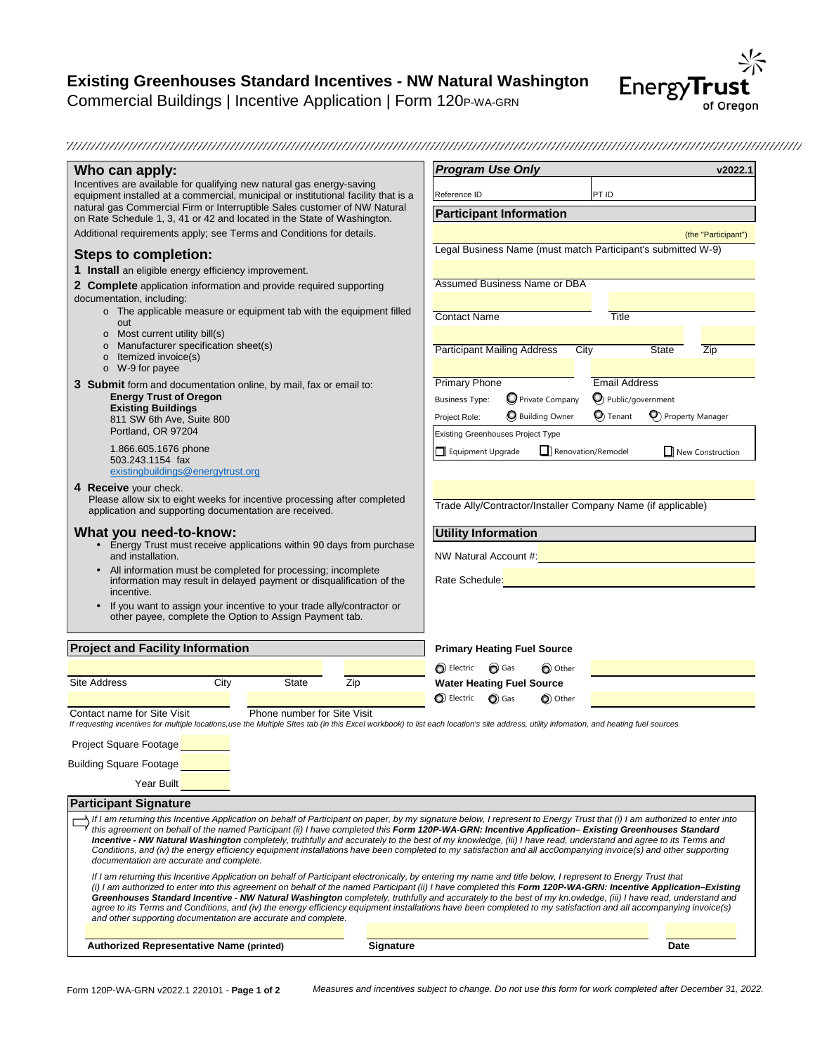# **Existing Greenhouses Standard Incentives - NW Natural Washington**

Commercial Buildings | Incentive Application | Form 120P-WA-GRN



| Who can apply:                                                                                                                                                                                                                                                                                                                                                                                                                                                                                                                                                                                                                                                                                                                                                                                                  |                             |                  | <b>Program Use Only</b>                  |                         |                    |                                                              | v2022.1                                                             |
|-----------------------------------------------------------------------------------------------------------------------------------------------------------------------------------------------------------------------------------------------------------------------------------------------------------------------------------------------------------------------------------------------------------------------------------------------------------------------------------------------------------------------------------------------------------------------------------------------------------------------------------------------------------------------------------------------------------------------------------------------------------------------------------------------------------------|-----------------------------|------------------|------------------------------------------|-------------------------|--------------------|--------------------------------------------------------------|---------------------------------------------------------------------|
| Incentives are available for qualifying new natural gas energy-saving<br>equipment installed at a commercial, municipal or institutional facility that is a                                                                                                                                                                                                                                                                                                                                                                                                                                                                                                                                                                                                                                                     |                             |                  | Reference ID                             |                         | PT ID              |                                                              |                                                                     |
| natural gas Commercial Firm or Interruptible Sales customer of NW Natural<br>on Rate Schedule 1, 3, 41 or 42 and located in the State of Washington.                                                                                                                                                                                                                                                                                                                                                                                                                                                                                                                                                                                                                                                            |                             |                  | <b>Participant Information</b>           |                         |                    |                                                              |                                                                     |
| Additional requirements apply; see Terms and Conditions for details.                                                                                                                                                                                                                                                                                                                                                                                                                                                                                                                                                                                                                                                                                                                                            |                             |                  |                                          |                         |                    |                                                              | (the "Participant")                                                 |
| <b>Steps to completion:</b>                                                                                                                                                                                                                                                                                                                                                                                                                                                                                                                                                                                                                                                                                                                                                                                     |                             |                  |                                          |                         |                    | Legal Business Name (must match Participant's submitted W-9) |                                                                     |
| 1 Install an eligible energy efficiency improvement.                                                                                                                                                                                                                                                                                                                                                                                                                                                                                                                                                                                                                                                                                                                                                            |                             |                  |                                          |                         |                    |                                                              |                                                                     |
| 2 Complete application information and provide required supporting<br>documentation, including:                                                                                                                                                                                                                                                                                                                                                                                                                                                                                                                                                                                                                                                                                                                 |                             |                  | Assumed Business Name or DBA             |                         |                    |                                                              |                                                                     |
| o The applicable measure or equipment tab with the equipment filled                                                                                                                                                                                                                                                                                                                                                                                                                                                                                                                                                                                                                                                                                                                                             |                             |                  | <b>Contact Name</b>                      |                         | Title              |                                                              |                                                                     |
| out<br>Most current utility bill(s)<br>$\circ$                                                                                                                                                                                                                                                                                                                                                                                                                                                                                                                                                                                                                                                                                                                                                                  |                             |                  |                                          |                         |                    |                                                              |                                                                     |
| o Manufacturer specification sheet(s)<br>Itemized invoice(s)<br>$\circ$                                                                                                                                                                                                                                                                                                                                                                                                                                                                                                                                                                                                                                                                                                                                         |                             |                  | <b>Participant Mailing Address</b>       |                         | City               | State                                                        | Zip                                                                 |
| $\circ$ W-9 for payee                                                                                                                                                                                                                                                                                                                                                                                                                                                                                                                                                                                                                                                                                                                                                                                           |                             |                  |                                          |                         |                    |                                                              |                                                                     |
| 3 Submit form and documentation online, by mail, fax or email to:                                                                                                                                                                                                                                                                                                                                                                                                                                                                                                                                                                                                                                                                                                                                               |                             |                  | <b>Primary Phone</b>                     |                         |                    | <b>Email Address</b>                                         |                                                                     |
| <b>Energy Trust of Oregon</b><br><b>Existing Buildings</b>                                                                                                                                                                                                                                                                                                                                                                                                                                                                                                                                                                                                                                                                                                                                                      |                             |                  | <b>Business Type:</b>                    | O Private Company       |                    | O Public/government                                          |                                                                     |
| 811 SW 6th Ave, Suite 800                                                                                                                                                                                                                                                                                                                                                                                                                                                                                                                                                                                                                                                                                                                                                                                       |                             |                  | Project Role:                            | <b>O</b> Building Owner | $\bigcirc$ Tenant  |                                                              | <sup>O</sup> Property Manager                                       |
| Portland, OR 97204                                                                                                                                                                                                                                                                                                                                                                                                                                                                                                                                                                                                                                                                                                                                                                                              |                             |                  | <b>Existing Greenhouses Project Type</b> |                         |                    |                                                              |                                                                     |
| 1.866.605.1676 phone                                                                                                                                                                                                                                                                                                                                                                                                                                                                                                                                                                                                                                                                                                                                                                                            |                             |                  | Equipment Upgrade                        |                         | Renovation/Remodel |                                                              | $\Box$ New Construction                                             |
| 503.243.1154 fax<br>existingbuildings@energytrust.org                                                                                                                                                                                                                                                                                                                                                                                                                                                                                                                                                                                                                                                                                                                                                           |                             |                  |                                          |                         |                    |                                                              |                                                                     |
| 4 Receive your check.                                                                                                                                                                                                                                                                                                                                                                                                                                                                                                                                                                                                                                                                                                                                                                                           |                             |                  |                                          |                         |                    |                                                              |                                                                     |
| Please allow six to eight weeks for incentive processing after completed<br>application and supporting documentation are received.                                                                                                                                                                                                                                                                                                                                                                                                                                                                                                                                                                                                                                                                              |                             |                  |                                          |                         |                    | Trade Ally/Contractor/Installer Company Name (if applicable) |                                                                     |
| What you need-to-know:                                                                                                                                                                                                                                                                                                                                                                                                                                                                                                                                                                                                                                                                                                                                                                                          |                             |                  | <b>Utility Information</b>               |                         |                    |                                                              |                                                                     |
| • Energy Trust must receive applications within 90 days from purchase<br>and installation.                                                                                                                                                                                                                                                                                                                                                                                                                                                                                                                                                                                                                                                                                                                      |                             |                  |                                          |                         |                    |                                                              | NW Natural Account #: Network and Account #: Network and Account #: |
| • All information must be completed for processing; incomplete<br>information may result in delayed payment or disqualification of the<br>incentive.                                                                                                                                                                                                                                                                                                                                                                                                                                                                                                                                                                                                                                                            |                             |                  |                                          |                         |                    | Rate Schedule: New York Schedule 2014                        |                                                                     |
| If you want to assign your incentive to your trade ally/contractor or<br>other payee, complete the Option to Assign Payment tab.                                                                                                                                                                                                                                                                                                                                                                                                                                                                                                                                                                                                                                                                                |                             |                  |                                          |                         |                    |                                                              |                                                                     |
| <b>Project and Facility Information</b>                                                                                                                                                                                                                                                                                                                                                                                                                                                                                                                                                                                                                                                                                                                                                                         |                             |                  | <b>Primary Heating Fuel Source</b>       |                         |                    |                                                              |                                                                     |
|                                                                                                                                                                                                                                                                                                                                                                                                                                                                                                                                                                                                                                                                                                                                                                                                                 |                             |                  | <b>O</b> Electric ● Gas                  | O Other                 |                    |                                                              |                                                                     |
| Site Address<br>City                                                                                                                                                                                                                                                                                                                                                                                                                                                                                                                                                                                                                                                                                                                                                                                            | <b>State</b>                | Zip              | <b>Water Heating Fuel Source</b>         |                         |                    |                                                              |                                                                     |
|                                                                                                                                                                                                                                                                                                                                                                                                                                                                                                                                                                                                                                                                                                                                                                                                                 |                             |                  | $\bigcirc$ Electric $\bigcirc$ Gas       | O Other                 |                    |                                                              |                                                                     |
| Contact name for Site Visit                                                                                                                                                                                                                                                                                                                                                                                                                                                                                                                                                                                                                                                                                                                                                                                     | Phone number for Site Visit |                  |                                          |                         |                    |                                                              |                                                                     |
| If requesting incentives for multiple locations,use the Multiple SItes tab (in this Excel workbook) to list each location's site address, utility infomation, and heating fuel sources                                                                                                                                                                                                                                                                                                                                                                                                                                                                                                                                                                                                                          |                             |                  |                                          |                         |                    |                                                              |                                                                     |
| Project Square Footage                                                                                                                                                                                                                                                                                                                                                                                                                                                                                                                                                                                                                                                                                                                                                                                          |                             |                  |                                          |                         |                    |                                                              |                                                                     |
| <b>Building Square Footage</b>                                                                                                                                                                                                                                                                                                                                                                                                                                                                                                                                                                                                                                                                                                                                                                                  |                             |                  |                                          |                         |                    |                                                              |                                                                     |
|                                                                                                                                                                                                                                                                                                                                                                                                                                                                                                                                                                                                                                                                                                                                                                                                                 |                             |                  |                                          |                         |                    |                                                              |                                                                     |
|                                                                                                                                                                                                                                                                                                                                                                                                                                                                                                                                                                                                                                                                                                                                                                                                                 |                             |                  |                                          |                         |                    |                                                              |                                                                     |
| Year Built                                                                                                                                                                                                                                                                                                                                                                                                                                                                                                                                                                                                                                                                                                                                                                                                      |                             |                  |                                          |                         |                    |                                                              |                                                                     |
|                                                                                                                                                                                                                                                                                                                                                                                                                                                                                                                                                                                                                                                                                                                                                                                                                 |                             |                  |                                          |                         |                    |                                                              |                                                                     |
| If I am returning this Incentive Application on behalf of Participant on paper, by my signature below, I represent to Energy Trust that (i) I am authorized to enter into<br>this agreement on behalf of the named Participant (ii) I have completed this Form 120P-WA-GRN: Incentive Application-Existing Greenhouses Standard<br>Incentive - NW Natural Washington completely, truthfully and accurately to the best of my knowledge, (iii) I have read, understand and agree to its Terms and<br>Conditions, and (iv) the energy efficiency equipment installations have been completed to my satisfaction and all acc0ompanying invoice(s) and other supporting                                                                                                                                             |                             |                  |                                          |                         |                    |                                                              |                                                                     |
| <b>Participant Signature</b><br>documentation are accurate and complete.<br>If I am returning this Incentive Application on behalf of Participant electronically, by entering my name and title below, I represent to Energy Trust that<br>(i) I am authorized to enter into this agreement on behalf of the named Participant (ii) I have completed this Form 120P-WA-GRN: Incentive Application–Existing<br>Greenhouses Standard Incentive - NW Natural Washington completely, truthfully and accurately to the best of my kn.owledge, (iii) I have read, understand and<br>agree to its Terms and Conditions, and (iv) the energy efficiency equipment installations have been completed to my satisfaction and all accompanying invoice(s)<br>and other supporting documentation are accurate and complete. |                             |                  |                                          |                         |                    |                                                              |                                                                     |
|                                                                                                                                                                                                                                                                                                                                                                                                                                                                                                                                                                                                                                                                                                                                                                                                                 |                             |                  |                                          |                         |                    |                                                              |                                                                     |
| <b>Authorized Representative Name (printed)</b>                                                                                                                                                                                                                                                                                                                                                                                                                                                                                                                                                                                                                                                                                                                                                                 |                             | <b>Signature</b> |                                          |                         |                    | <b>Date</b>                                                  |                                                                     |

Form 120P-WA-GRN v2022.1 220101 - **Page 1 of 2** *Measures and incentives subject to change. Do not use this form for work completed after December 31, 2022.*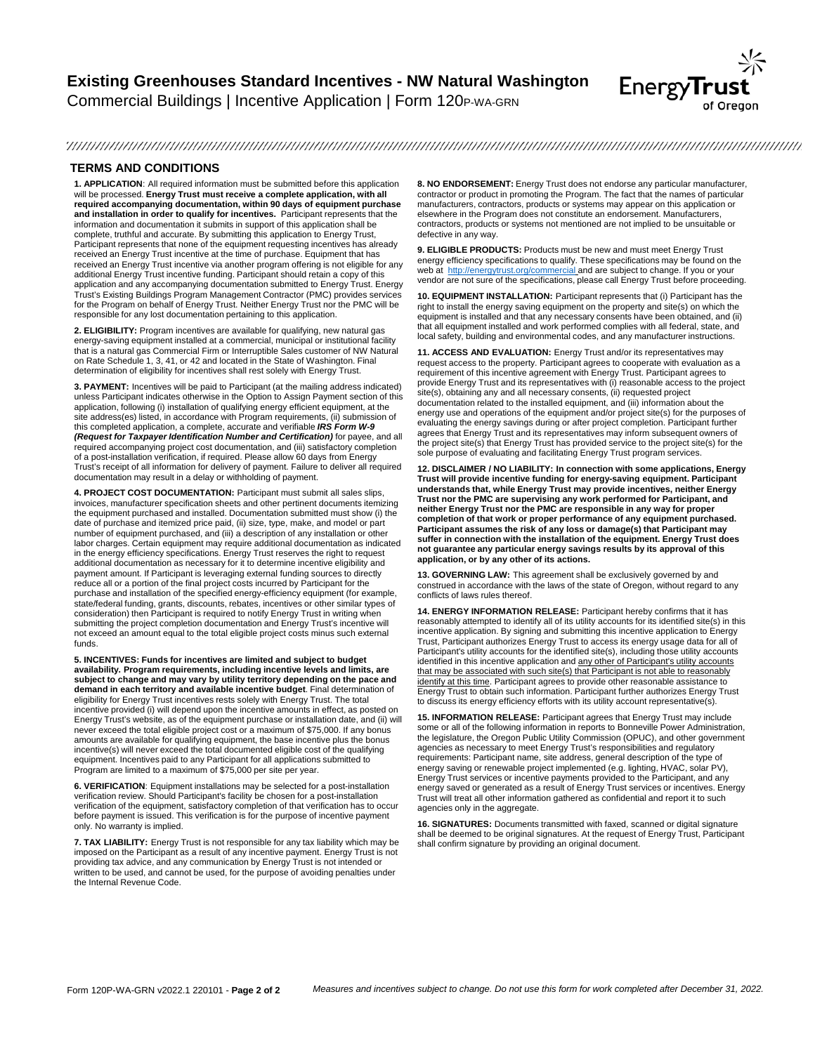## **Existing Greenhouses Standard Incentives - NW Natural Washington** Commercial Buildings | Incentive Application | Form 120P-WA-GRN



#### 

#### **TERMS AND CONDITIONS**

**1. APPLICATION**: All required information must be submitted before this application will be processed. **Energy Trust must receive a complete application, with all required accompanying documentation, within 90 days of equipment purchase and installation in order to qualify for incentives.** Participant represents that the information and documentation it submits in support of this application shall be complete, truthful and accurate. By submitting this application to Energy Trust, Participant represents that none of the equipment requesting incentives has already received an Energy Trust incentive at the time of purchase. Equipment that has received an Energy Trust incentive via another program offering is not eligible for any additional Energy Trust incentive funding. Participant should retain a copy of this application and any accompanying documentation submitted to Energy Trust. Energy Trust's Existing Buildings Program Management Contractor (PMC) provides services for the Program on behalf of Energy Trust. Neither Energy Trust nor the PMC will be responsible for any lost documentation pertaining to this application.

**2. ELIGIBILITY:** Program incentives are available for qualifying, new natural gas energy-saving equipment installed at a commercial, municipal or institutional facility that is a natural gas Commercial Firm or Interruptible Sales customer of NW Natural on Rate Schedule 1, 3, 41, or 42 and located in the State of Washington. Final determination of eligibility for incentives shall rest solely with Energy Trust.

**3. PAYMENT:** Incentives will be paid to Participant (at the mailing address indicated) unless Participant indicates otherwise in the Option to Assign Payment section of this application, following (i) installation of qualifying energy efficient equipment, at the site address(es) listed, in accordance with Program requirements, (ii) submission of this completed application, a complete, accurate and verifiable *IRS Form W-9 (Request for Taxpayer Identification Number and Certification)* for payee, and all required accompanying project cost documentation, and (iii) satisfactory completion of a post-installation verification, if required. Please allow 60 days from Energy Trust's receipt of all information for delivery of payment. Failure to deliver all required documentation may result in a delay or withholding of payment.

**4. PROJECT COST DOCUMENTATION:** Participant must submit all sales slips, invoices, manufacturer specification sheets and other pertinent documents itemizing the equipment purchased and installed. Documentation submitted must show (i) the date of purchase and itemized price paid, (ii) size, type, make, and model or part number of equipment purchased, and (iii) a description of any installation or other labor charges. Certain equipment may require additional documentation as indicated in the energy efficiency specifications. Energy Trust reserves the right to request additional documentation as necessary for it to determine incentive eligibility and payment amount. If Participant is leveraging external funding sources to directly reduce all or a portion of the final project costs incurred by Participant for the purchase and installation of the specified energy-efficiency equipment (for example, state/federal funding, grants, discounts, rebates, incentives or other similar types of consideration) then Participant is required to notify Energy Trust in writing when submitting the project completion documentation and Energy Trust's incentive will not exceed an amount equal to the total eligible project costs minus such external funds.

**5. INCENTIVES: Funds for incentives are limited and subject to budget availability. Program requirements, including incentive levels and limits, are subject to change and may vary by utility territory depending on the pace and demand in each territory and available incentive budget**. Final determination of eligibility for Energy Trust incentives rests solely with Energy Trust. The total incentive provided (i) will depend upon the incentive amounts in effect, as posted on Energy Trust's website, as of the equipment purchase or installation date, and (ii) will never exceed the total eligible project cost or a maximum of \$75,000. If any bonus amounts are available for qualifying equipment, the base incentive plus the bonus incentive(s) will never exceed the total documented eligible cost of the qualifying equipment. Incentives paid to any Participant for all applications submitted to Program are limited to a maximum of \$75,000 per site per year.

**6. VERIFICATION**: Equipment installations may be selected for a post-installation verification review. Should Participant's facility be chosen for a post-installation verification of the equipment, satisfactory completion of that verification has to occur before payment is issued. This verification is for the purpose of incentive payment only. No warranty is implied.

**7. TAX LIABILITY:** Energy Trust is not responsible for any tax liability which may be imposed on the Participant as a result of any incentive payment. Energy Trust is not providing tax advice, and any communication by Energy Trust is not intended or written to be used, and cannot be used, for the purpose of avoiding penalties under the Internal Revenue Code.

**8. NO ENDORSEMENT:** Energy Trust does not endorse any particular manufacturer, contractor or product in promoting the Program. The fact that the names of particular manufacturers, contractors, products or systems may appear on this application or elsewhere in the Program does not constitute an endorsement. Manufacturers, contractors, products or systems not mentioned are not implied to be unsuitable or defective in any way.

**9. ELIGIBLE PRODUCTS:** Products must be new and must meet Energy Trust energy efficiency specifications to qualify. These specifications may be found on the web at http://energytrust.org/commercial and are subject to change. If you or your vendor are not sure of the specifications, please call Energy Trust before proceeding.

**10. EQUIPMENT INSTALLATION:** Participant represents that (i) Participant has the right to install the energy saving equipment on the property and site(s) on which the equipment is installed and that any necessary consents have been obtained, and (ii) that all equipment installed and work performed complies with all federal, state, and local safety, building and environmental codes, and any manufacturer instructions.

**11. ACCESS AND EVALUATION:** Energy Trust and/or its representatives may request access to the property. Participant agrees to cooperate with evaluation as a requirement of this incentive agreement with Energy Trust. Participant agrees to provide Energy Trust and its representatives with (i) reasonable access to the project site(s), obtaining any and all necessary consents, (ii) requested project documentation related to the installed equipment, and (iii) information about the energy use and operations of the equipment and/or project site(s) for the purposes of evaluating the energy savings during or after project completion. Participant further agrees that Energy Trust and its representatives may inform subsequent owners of the project site(s) that Energy Trust has provided service to the project site(s) for the sole purpose of evaluating and facilitating Energy Trust program services.

**12. DISCLAIMER / NO LIABILITY: In connection with some applications, Energy Trust will provide incentive funding for energy-saving equipment. Participant understands that, while Energy Trust may provide incentives, neither Energy Trust nor the PMC are supervising any work performed for Participant, and neither Energy Trust nor the PMC are responsible in any way for proper completion of that work or proper performance of any equipment purchased. Participant assumes the risk of any loss or damage(s) that Participant may suffer in connection with the installation of the equipment. Energy Trust does not guarantee any particular energy savings results by its approval of this application, or by any other of its actions.**

**13. GOVERNING LAW:** This agreement shall be exclusively governed by and construed in accordance with the laws of the state of Oregon, without regard to any conflicts of laws rules thereof.

**14. ENERGY INFORMATION RELEASE:** Participant hereby confirms that it has reasonably attempted to identify all of its utility accounts for its identified site(s) in this incentive application. By signing and submitting this incentive application to Energy Trust, Participant authorizes Energy Trust to access its energy usage data for all of Participant's utility accounts for the identified site(s), including those utility accounts identified in this incentive application and any other of Participant's utility accounts that may be associated with such site(s) that Participant is not able to reasonably identify at this time. Participant agrees to provide other reasonable assistance to lead and the more to exper<br>Energy Trust to obtain such information. Participant further authorizes Energy Trust to discuss its energy efficiency efforts with its utility account representative(s).

15. INFORMATION RELEASE: Participant agrees that Energy Trust may include<br>some or all of the following information in reports to Bonneville Power Administration,<br>the legislature, the Oregon Public Utility Commission (OPUC) agencies as necessary to meet Energy Trust's responsibilities and regulatory requirements: Participant name, site address, general description of the type of energy saving or renewable project implemented (e.g. lighting, HVAC, solar PV), Energy Trust services or incentive payments provided to the Participant, and any energy saved or generated as a result of Energy Trust services or incentives. Energy Trust will treat all other information gathered as confidential and report it to such agencies only in the aggregate.

**16. SIGNATURES:** Documents transmitted with faxed, scanned or digital signature shall be deemed to be original signatures. At the request of Energy Trust, Participant shall confirm signature by providing an original document.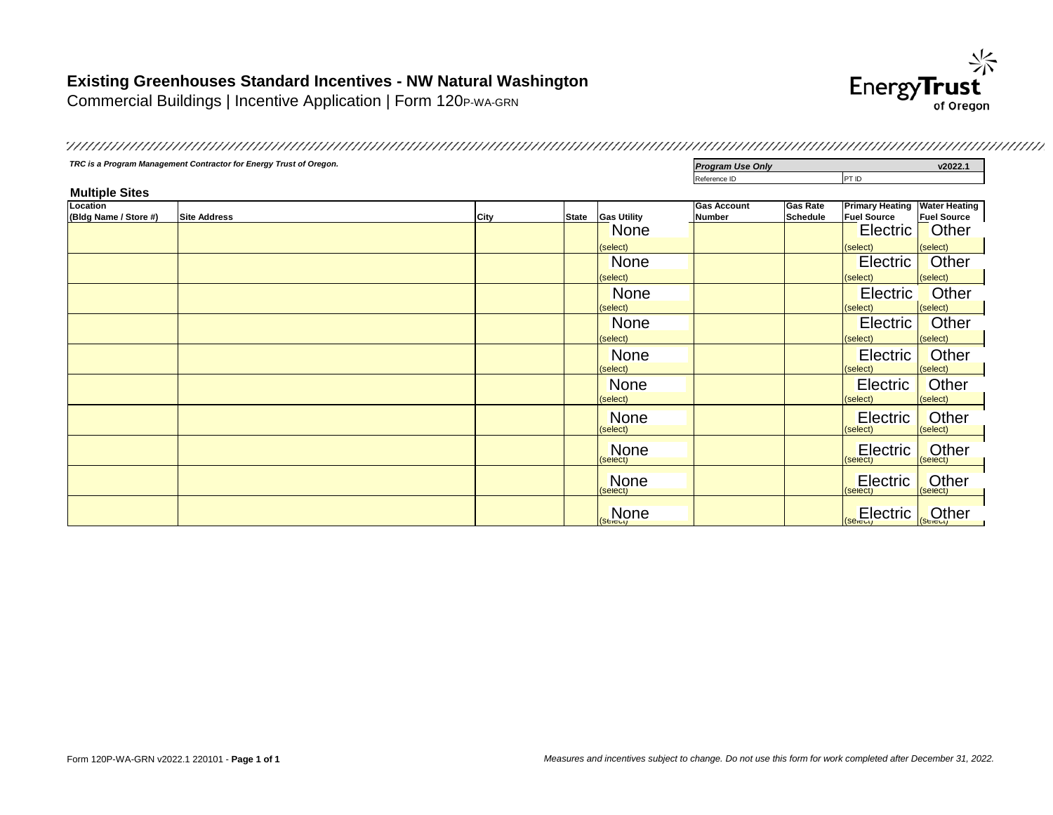## **Existing Greenhouses Standard Incentives - NW Natural Washington**

Commercial Buildings | Incentive Application | Form 120P-WA-GRN



**TRC is a Program Management Contractor for Energy Trust of Oregon.** *Program Use Only* **<b>Program Use Only v2022.1** Reference ID PT ID **Multiple Sites Location (Bldg Name / Store #) Site Address City State Gas Utility Gas Account Number Gas Rate Schedule Primary Heating Water Heating Fuel Source Fuel Source** (select) (select) (select) (select) (select) (select) (select) (select) (select) (select) (select) (select) (select) (select) (select) (select) (select) (select) (select) (select) (select) (select) (select) (select) (select) (select) (select) (select) (select) (select) (select) (select) (select) (select) (select) (select)  $\frac{1}{\left(\text{Sélet} \right)}$  (select)  $\frac{1}{\left(\text{Sélet} \right)}$ None **T Electric** Other None Record Report of the Electric Other<br>selection of the Electric Contract of the Selection of the Selection of the Selection of the Selection of the<br>Selection of the Selection of the Selection of the Selection of the Sel None Record Report of the Electric Other None Reserves and the Electric Other Reserves and the Electric Other Reserves and the Electric Communist Select<br>
Selection Selection Selection Selection Selection Selection Selection Selection Selection Selection Selection **None** Properties and the Electric Other Research Contract and the Electric Contract of Selection Contract and the Selection of the Selection of the Selection of the Selection of the Selection of the Selection of the Selec None Reserved and the Electric Other<br>selection of the Electric Computer of the Electric Computer of the Electric Computer of the Electric Computer<br>Selection of the Electric Computer of the Electric Computer of the Electric None Records Report Following Selectric Cother **Electric** Cthere **Electric** Cthere **Electric** Cther None **Electric Other** None **Electric Delaware Electric Delaware Electric Delaware Electric Delaware Electric Delaware Electric Delaware**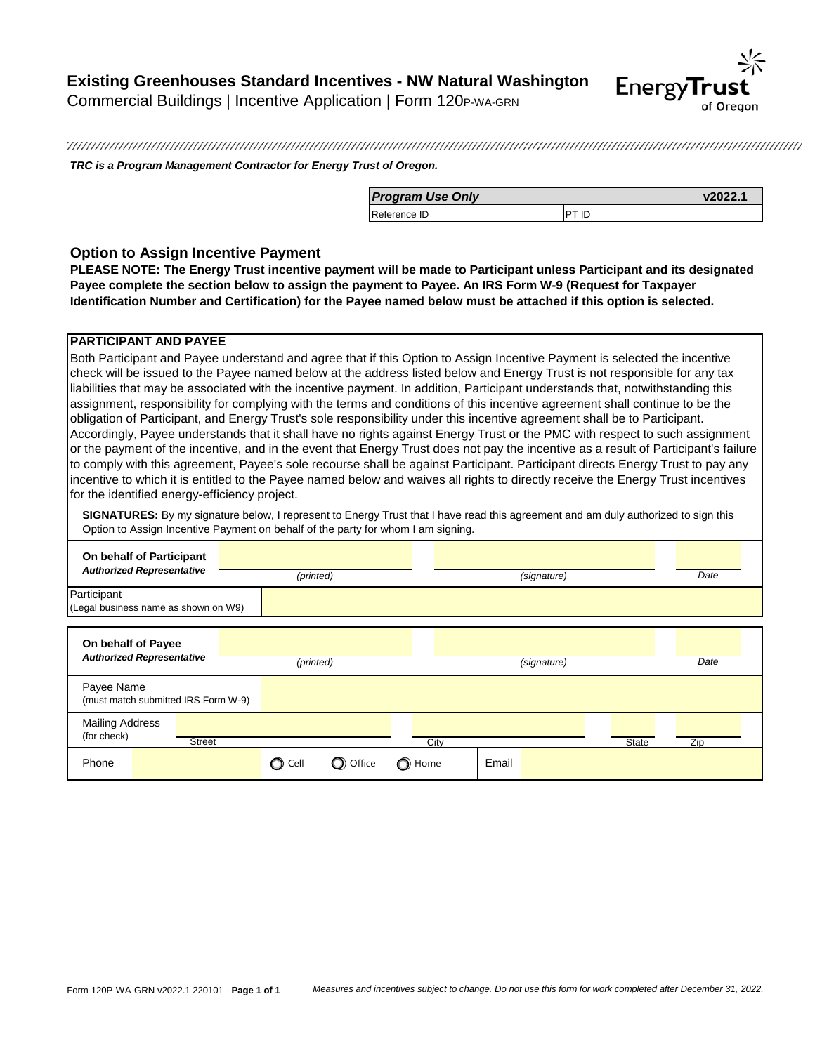## **Existing Greenhouses Standard Incentives - NW Natural Washington** Commercial Buildings | Incentive Application | Form 120P-WA-GRN



*TRC is a Program Management Contractor for Energy Trust of Oregon.*

| <b>Program Use Only</b> | v2022.1      |
|-------------------------|--------------|
| Reference ID            | <b>PT ID</b> |

### **Option to Assign Incentive Payment**

**PLEASE NOTE: The Energy Trust incentive payment will be made to Participant unless Participant and its designated Payee complete the section below to assign the payment to Payee. An IRS Form W-9 (Request for Taxpayer Identification Number and Certification) for the Payee named below must be attached if this option is selected.**

#### **PARTICIPANT AND PAYEE**

Both Participant and Payee understand and agree that if this Option to Assign Incentive Payment is selected the incentive check will be issued to the Payee named below at the address listed below and Energy Trust is not responsible for any tax liabilities that may be associated with the incentive payment. In addition, Participant understands that, notwithstanding this assignment, responsibility for complying with the terms and conditions of this incentive agreement shall continue to be the obligation of Participant, and Energy Trust's sole responsibility under this incentive agreement shall be to Participant. Accordingly, Payee understands that it shall have no rights against Energy Trust or the PMC with respect to such assignment or the payment of the incentive, and in the event that Energy Trust does not pay the incentive as a result of Participant's failure to comply with this agreement, Payee's sole recourse shall be against Participant. Participant directs Energy Trust to pay any incentive to which it is entitled to the Payee named below and waives all rights to directly receive the Energy Trust incentives for the identified energy-efficiency project.

**SIGNATURES:** By my signature below, I represent to Energy Trust that I have read this agreement and am duly authorized to sign this Option to Assign Incentive Payment on behalf of the party for whom I am signing.

| On behalf of Participant<br><b>Authorized Representative</b>                   | (printed)             |      | (signature) | Date |
|--------------------------------------------------------------------------------|-----------------------|------|-------------|------|
| Participant<br>(Legal business name as shown on W9)                            |                       |      |             |      |
| On behalf of Payee<br><b>Authorized Representative</b>                         | (printed)             |      | (signature) | Date |
| Payee Name<br>(must match submitted IRS Form W-9)                              |                       |      |             |      |
| <b>Mailing Address</b><br>(for check)<br><b>Street</b><br>State<br>City<br>Zip |                       |      |             |      |
| Phone                                                                          | C Office<br>Cell<br>O | Home | Email       |      |